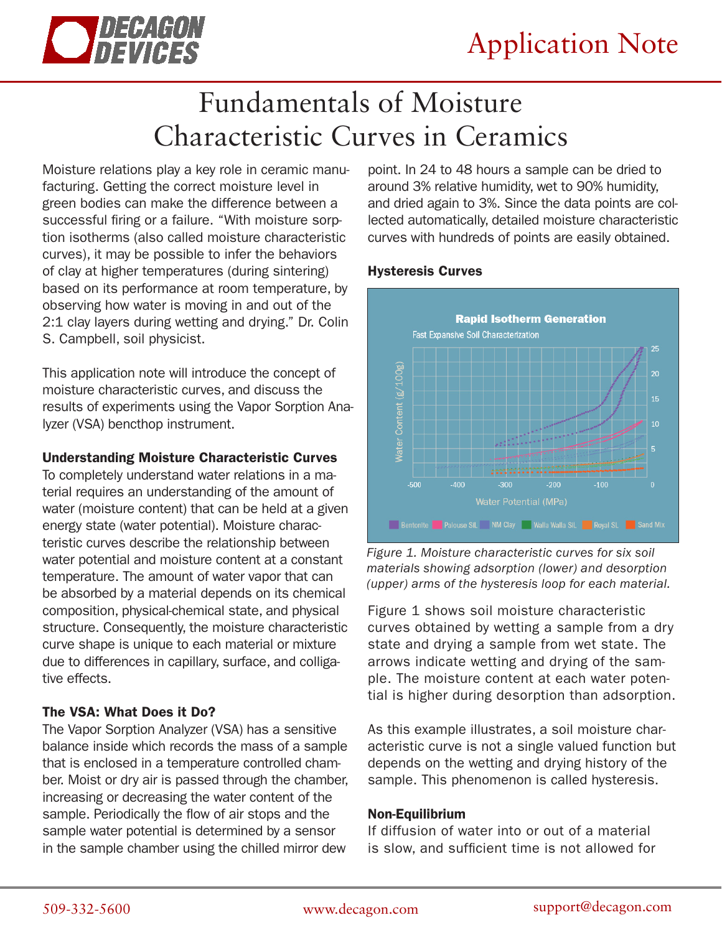

# Fundamentals of Moisture Characteristic Curves in Ceramics

Moisture relations play a key role in ceramic manufacturing. Getting the correct moisture level in green bodies can make the difference between a successful firing or a failure. "With moisture sorption isotherms (also called moisture characteristic curves), it may be possible to infer the behaviors of clay at higher temperatures (during sintering) based on its performance at room temperature, by observing how water is moving in and out of the 2:1 clay layers during wetting and drying." Dr. Colin S. Campbell, soil physicist.

This application note will introduce the concept of moisture characteristic curves, and discuss the results of experiments using the Vapor Sorption Analyzer (VSA) bencthop instrument.

## Understanding Moisture Characteristic Curves

To completely understand water relations in a material requires an understanding of the amount of water (moisture content) that can be held at a given energy state (water potential). Moisture characteristic curves describe the relationship between water potential and moisture content at a constant temperature. The amount of water vapor that can be absorbed by a material depends on its chemical composition, physical-chemical state, and physical structure. Consequently, the moisture characteristic curve shape is unique to each material or mixture due to differences in capillary, surface, and colligative effects.

# The VSA: What Does it Do?

The Vapor Sorption Analyzer (VSA) has a sensitive balance inside which records the mass of a sample that is enclosed in a temperature controlled chamber. Moist or dry air is passed through the chamber, increasing or decreasing the water content of the sample. Periodically the flow of air stops and the sample water potential is determined by a sensor in the sample chamber using the chilled mirror dew

point. In 24 to 48 hours a sample can be dried to around 3% relative humidity, wet to 90% humidity, and dried again to 3%. Since the data points are collected automatically, detailed moisture characteristic curves with hundreds of points are easily obtained.

## Hysteresis Curves



*Figure 1. Moisture characteristic curves for six soil materials showing adsorption (lower) and desorption (upper) arms of the hysteresis loop for each material.* 

Figure 1 shows soil moisture characteristic curves obtained by wetting a sample from a dry state and drying a sample from wet state. The arrows indicate wetting and drying of the sample. The moisture content at each water potential is higher during desorption than adsorption.

As this example illustrates, a soil moisture characteristic curve is not a single valued function but depends on the wetting and drying history of the sample. This phenomenon is called hysteresis.

### Non-Equilibrium

If diffusion of water into or out of a material is slow, and sufficient time is not allowed for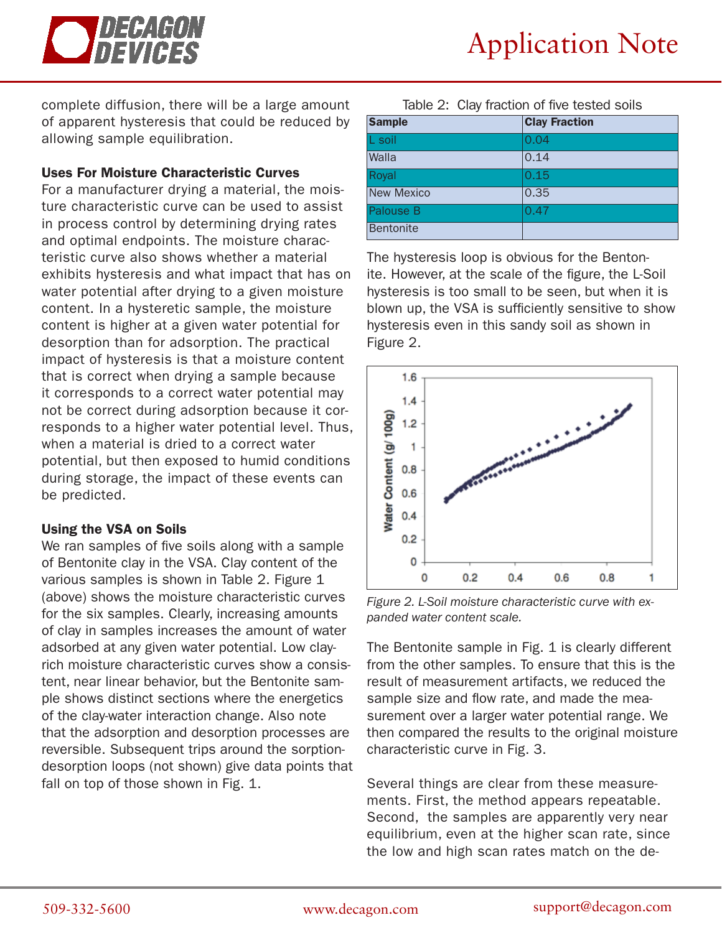

complete diffusion, there will be a large amount of apparent hysteresis that could be reduced by allowing sample equilibration.

#### Uses For Moisture Characteristic Curves

For a manufacturer drying a material, the moisture characteristic curve can be used to assist in process control by determining drying rates and optimal endpoints. The moisture characteristic curve also shows whether a material exhibits hysteresis and what impact that has on water potential after drying to a given moisture content. In a hysteretic sample, the moisture content is higher at a given water potential for desorption than for adsorption. The practical impact of hysteresis is that a moisture content that is correct when drying a sample because it corresponds to a correct water potential may not be correct during adsorption because it corresponds to a higher water potential level. Thus, when a material is dried to a correct water potential, but then exposed to humid conditions during storage, the impact of these events can be predicted.

#### Using the VSA on Soils

We ran samples of five soils along with a sample of Bentonite clay in the VSA. Clay content of the various samples is shown in Table 2. Figure 1 (above) shows the moisture characteristic curves for the six samples. Clearly, increasing amounts of clay in samples increases the amount of water adsorbed at any given water potential. Low clayrich moisture characteristic curves show a consistent, near linear behavior, but the Bentonite sample shows distinct sections where the energetics of the clay-water interaction change. Also note that the adsorption and desorption processes are reversible. Subsequent trips around the sorptiondesorption loops (not shown) give data points that fall on top of those shown in Fig. 1.

| <b>Sample</b>     | <b>Clay Fraction</b> |
|-------------------|----------------------|
| L soil            | 0.04                 |
| Walla             | 0.14                 |
| Royal             | 0.15                 |
| <b>New Mexico</b> | 0.35                 |
| Palouse B         | 0.47                 |
| Bentonite         |                      |

Table 2: Clay fraction of five tested soils

The hysteresis loop is obvious for the Bentonite. However, at the scale of the figure, the L-Soil hysteresis is too small to be seen, but when it is blown up, the VSA is sufficiently sensitive to show hysteresis even in this sandy soil as shown in Figure 2.



*Figure 2. L-Soil moisture characteristic curve with expanded water content scale.* 

The Bentonite sample in Fig. 1 is clearly different from the other samples. To ensure that this is the result of measurement artifacts, we reduced the sample size and flow rate, and made the measurement over a larger water potential range. We then compared the results to the original moisture characteristic curve in Fig. 3.

Several things are clear from these measurements. First, the method appears repeatable. Second, the samples are apparently very near equilibrium, even at the higher scan rate, since the low and high scan rates match on the de-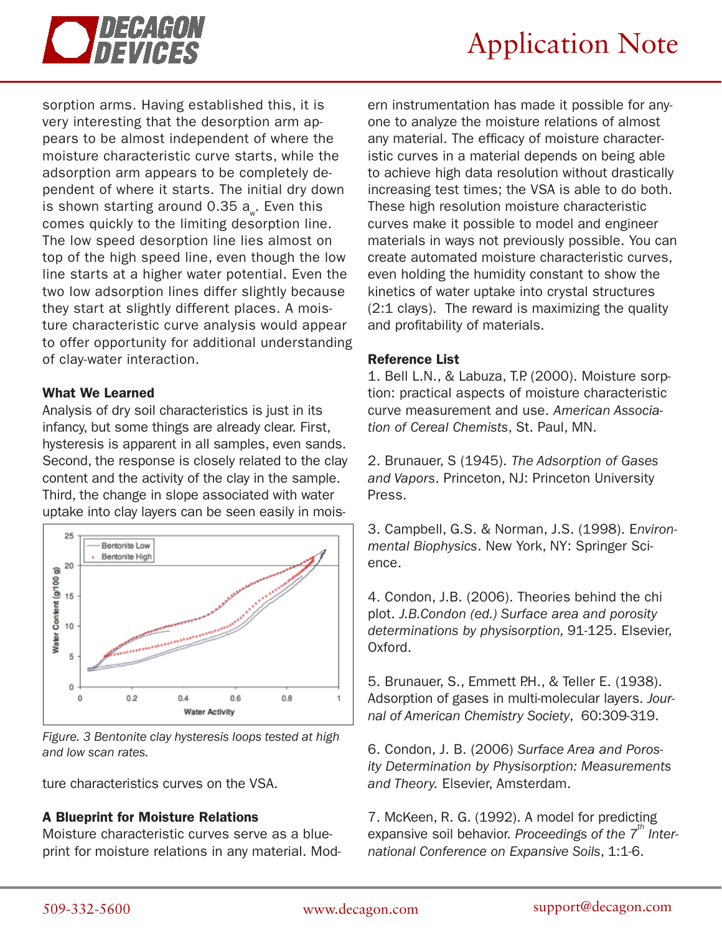

sorption arms. Having established this, it is very interesting that the desorption arm appears to be almost independent of where the moisture characteristic curve starts, while the adsorption arm appears to be completely dependent of where it starts. The initial dry down is shown starting around 0.35  $a_{w}$ . Even this comes quickly to the limiting desorption line. The low speed desorption line lies almost on top of the high speed line, even though the low line starts at a higher water potential. Even the two low adsorption lines differ slightly because they start at slightly different places. A moisture characteristic curve analysis would appear to offer opportunity for additional understanding of clay-water interaction.

#### What We Learned

Analysis of dry soil characteristics is just in its infancy, but some things are already clear. First, hysteresis is apparent in all samples, even sands. Second, the response is closely related to the clay content and the activity of the clay in the sample. Third, the change in slope associated with water uptake into clay layers can be seen easily in mois-



*Figure. 3 Bentonite clay hysteresis loops tested at high and low scan rates.*

ture characteristics curves on the VSA.

#### A Blueprint for Moisture Relations

Moisture characteristic curves serve as a blueprint for moisture relations in any material. Mod-

ern instrumentation has made it possible for anyone to analyze the moisture relations of almost any material. The efficacy of moisture characteristic curves in a material depends on being able to achieve high data resolution without drastically increasing test times; the VSA is able to do both. These high resolution moisture characteristic curves make it possible to model and engineer materials in ways not previously possible. You can create automated moisture characteristic curves, even holding the humidity constant to show the kinetics of water uptake into crystal structures (2:1 clays). The reward is maximizing the quality and profitability of materials.

#### Reference List

1. Bell L.N., & Labuza, T.P. (2000). Moisture sorption: practical aspects of moisture characteristic curve measurement and use. *American Association of Cereal Chemists*, St. Paul, MN.

2. Brunauer, S (1945). *The Adsorption of Gases and Vapors*. Princeton, NJ: Princeton University Press.

3. Campbell, G.S. & Norman, J.S. (1998). E*nvironmental Biophysics*. New York, NY: Springer Science.

4. Condon, J.B. (2006). Theories behind the chi plot. *J.B.Condon (ed.) Surface area and porosity determinations by physisorption,* 91-125. Elsevier, Oxford.

5. Brunauer, S., Emmett P.H., & Teller E. (1938). Adsorption of gases in multi-molecular layers. *Journal of American Chemistry Society*, 60:309-319.

6. Condon, J. B. (2006) *Surface Area and Porosity Determination by Physisorption: Measurements and Theory.* Elsevier, Amsterdam.

7. McKeen, R. G. (1992). A model for predicting expansive soil behavior. Proceedings of the 7<sup>th</sup> Inter*national Conference on Expansive Soils*, 1:1-6.